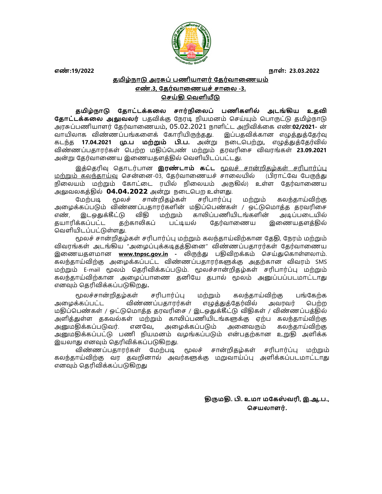

எண்:19/2022 நாள்: 23.03.2022 நாள் : 23.03.2022

## தமிழ்நாடு அரசுப் பணியாளர் தேர்வாணையம் எண்.3, தேர்வாணையச் சாலை -3. செய்கி வெளியீடு

தமிழ்நாடு தோட்டக்கலை சார்நிலைப் பணிகளில் அடங்கிய உதவி **தோட்டக்கலை அலுவலர்** பதவிக்கு நேரடி நியமனம் செய்யும் பொருட்டு தமிழ்நாடு அரசுப்பணியாளர் தேர்வாணையம், 05.02.2021 நாளிட்ட அறிவிக்கை எண்:**02/2021**- ன் வாயிலாக விண்ணப்பங்களைக் கோரியிருந்தது. இப்பதவிக்கான எழுத்துத்தேர்வு கடந்த **17.04.2021 .பை மற்றும் பி.ப.** அன்று நடைபெற்று, எழுத்துத்தேர்வில் விண்ணப்பதாரர்கள் பெற்ற மதிப்பெண் மற்றும் தரவரிசை விவரங்கள் **23.09.2021** அன்று தேர்வாணைய இணையதளத்தில் வெளியிடப்பட்டது.

இத்தெரிவு தொடர்பான இ**ரண்டாம் கட்ட** மூலச் சான்றிதழ்கள் சரிபார்ப்பு மற்றும் கலந்தாய்வு சென்னை-03, கேர்வாணையச் சாலையில் (பிராட்வே பேருந்து நிலையம் மற்றும் கோட்டை ரயில் நிலையம் அருகில்) உள்ள கேர்வாணைய அலுவலகத்தில் 04.04.2022 அன்று நடைபெற உள்ளது.

மேற்படி மூலச் சான்றிதழ்கள் சரிபார்ப்பு மற்றும் கலந்தாய்விற்கு அழைக்கப்படும் விண்ணப்பதாரர்களின் மதிப்பெண்கள் / ஒட்டுமொத்த தரவரிசை எண், இடஒதுக்கீட்டு விதி மற்றும் காலிப்பணியிடங்களின் அடிப்படையில் தயாரிக்கப்பட்ட தற்காலிகப் பட்டியல் தேர்வாணைய இணையதளத்தில் வெளியிடப்பட்டுள்ளது.

மூலச் சான்றிதழ்கள் சரிபார்ப்பு மற்றும் கலந்தாய்விற்கான தேதி, நேரம் மற்றும் விவரங்கள் அடங்கிய "அழைப்புக்கடிதத்தினை" விண்ணப்பதாரர்கள் தேர்வாணைய இணையதளமான www.tnpsc.gov.in - லிருந்து பதிவிறக்கம் செய்துகொள்ளலாம். கலந்தாய்விற்கு அழைக்கப்பட்ட விண்ணப்பதாரர்களுக்கு அதற்கான விவரம் SMS மற்றும் E-mail மூலம் தெரிவிக்கப்படும். மூலச்சான்றிதழ்கள் சரிபார்ப்பு மற்றும் கலந்தாய்விற்கான அழைப்பாணை தனியே தபால் மூலம் அனுப்பப்படமாட்டாது எனவும் தெரிவிக்கப்படுகிறது.

மூலச்சான்றிதழ்கள் சரிபார்ப்பு மற்றும் கலந்தாய்விற்கு பங்கேற்க அழைக்கப்பட்ட விண்ணப்பதாரர்கள் எழுத்துத்தேர்வில் அவரவர் பெற்ற மதிப்பெண்கள் / ஒட்டுமொத்த தரவரிசை / இடஒதுக்கீட்டு விதிகள் / விண்ணப்பத்தில் அளித்துள்ள தகவல்கள் மற்றும் காலிப்பணியிடங்களுக்கு ஏற்ப கலந்தாய்விற்கு அனுமதிக்கப்படுவர். எனவே, அழைக்கப்படும் அனைவரும் கலந்தாய்விற்கு அமைகிக்கப்பட்டு பணி நியமனம் வழங்கப்படும் என்பகற்கான உறுகி அளிக்க இயலாது எனவும் தெரிவிக்கப்படுகிறது.

விண்ணப்பதாரர்கள் மேற்படி மூலச் சான்றிதழ்கள் சரிபார்ப்பு மற்றும் கலந்தாய்விற்கு வர தவறினால் அவர்களுக்கு மறுவாய்ப்பு அளிக்கப்படமாட்டாது எனவும் தெரிவிக்கப்படுகிறது

> திருமதி, பி. உமா மகேஸ்வரி, இ.ஆ.ப., செயலாளர்.